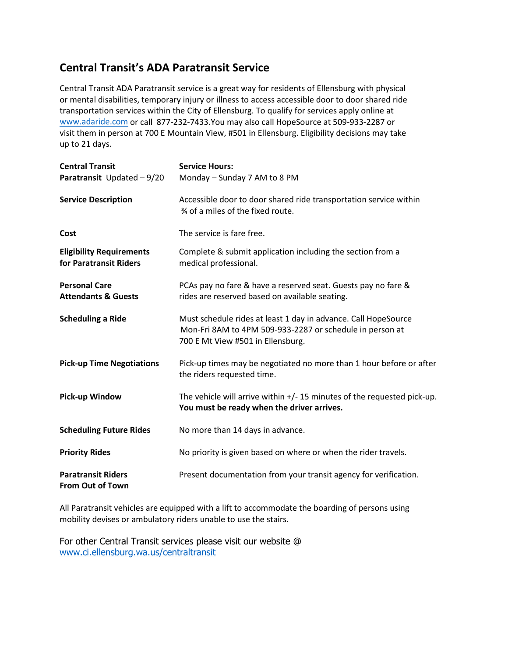## **Central Transit's ADA Paratransit Service**

Central Transit ADA Paratransit service is a great way for residents of Ellensburg with physical or mental disabilities, temporary injury or illness to access accessible door to door shared ride transportation services within the City of Ellensburg. To qualify for services apply online at [www.adaride.com](http://www.adaride.com/) or call 877-232-7433.You may also call HopeSource at 509-933-2287 or visit them in person at 700 E Mountain View, #501 in Ellensburg. Eligibility decisions may take up to 21 days.

| <b>Central Transit</b><br><b>Paratransit</b> Updated $-9/20$ | <b>Service Hours:</b><br>Monday - Sunday 7 AM to 8 PM                                                                                                           |
|--------------------------------------------------------------|-----------------------------------------------------------------------------------------------------------------------------------------------------------------|
| <b>Service Description</b>                                   | Accessible door to door shared ride transportation service within<br>3⁄4 of a miles of the fixed route.                                                         |
| Cost                                                         | The service is fare free.                                                                                                                                       |
| <b>Eligibility Requirements</b><br>for Paratransit Riders    | Complete & submit application including the section from a<br>medical professional.                                                                             |
| <b>Personal Care</b><br><b>Attendants &amp; Guests</b>       | PCAs pay no fare & have a reserved seat. Guests pay no fare &<br>rides are reserved based on available seating.                                                 |
| <b>Scheduling a Ride</b>                                     | Must schedule rides at least 1 day in advance. Call HopeSource<br>Mon-Fri 8AM to 4PM 509-933-2287 or schedule in person at<br>700 E Mt View #501 in Ellensburg. |
| <b>Pick-up Time Negotiations</b>                             | Pick-up times may be negotiated no more than 1 hour before or after<br>the riders requested time.                                                               |
| <b>Pick-up Window</b>                                        | The vehicle will arrive within $+/-$ 15 minutes of the requested pick-up.<br>You must be ready when the driver arrives.                                         |
| <b>Scheduling Future Rides</b>                               | No more than 14 days in advance.                                                                                                                                |
| <b>Priority Rides</b>                                        | No priority is given based on where or when the rider travels.                                                                                                  |
| <b>Paratransit Riders</b><br><b>From Out of Town</b>         | Present documentation from your transit agency for verification.                                                                                                |

All Paratransit vehicles are equipped with a lift to accommodate the boarding of persons using mobility devises or ambulatory riders unable to use the stairs.

For other Central Transit services please visit our website @ [www.ci.ellensburg.wa.us/centraltransit](http://www.ci.ellensburg.wa.us/centraltransit)